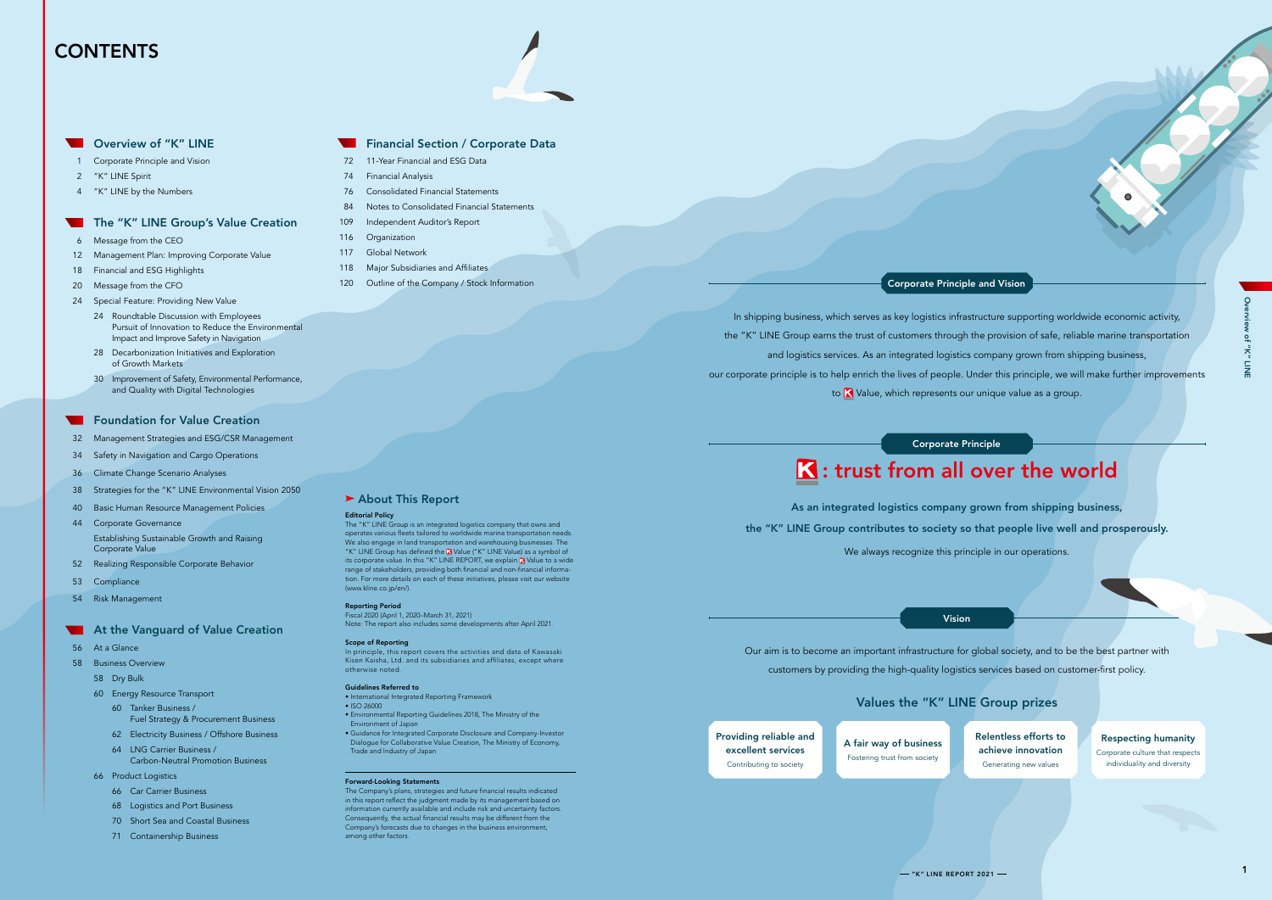## **CONTENTS**



- 1 Corporate Principle and Vision
- 2 "K" LINE Spirit
- 4 "K" LINE by the Numbers

#### The "K" LINE Group's Value Creation

- 6 Message from the CEO
- 12 Management Plan: Improving Corporate Value
- 18 Financial and ESG Highlights
- 20 Message from the CFO
- 24 Special Feature: Providing New Value
	- 24 Roundtable Discussion with Employees Pursuit of Innovation to Reduce the Environmental Impact and Improve Safety in Navigation
	- 28 Decarbonization Initiatives and Exploration of Growth Markets
	- 30 Improvement of Safety, Environmental Performance, and Quality with Digital Technologies

#### **Foundation for Value Creation**

- 32 Management Strategies and ESG/CSR Management
- 34 Safety in Navigation and Cargo Operations
- 36 Climate Change Scenario Analyses
- 38 Strategies for the "K" LINE Environmental Vision 2050
- 40 Basic Human Resource Management Policies
- 44 Corporate Governance Establishing Sustainable Growth and Raising Corporate Value
- 52 Realizing Responsible Corporate Behavior
- 53 Compliance
- 54 Risk Management

#### **At the Vanguard of Value Creation**

- 56 At a Glance
- 58 Business Overview
	- 58 Dry Bulk
	- 60 Energy Resource Transport
		- 60 Tanker Business / Fuel Strategy & Procurement Business
		- 62 Electricity Business / Offshore Business
		- 64 LNG Carrier Business / Carbon-Neutral Promotion Business
	- 66 Product Logistics
		- 66 Car Carrier Business
		- 68 Logistics and Port Business
		- 70 Short Sea and Coastal Business
		- 71 Containership Business

#### Financial Section / Corporate Data

- 72 11-Year Financial and ESG Data
- 74 Financial Analysis
- 76 Consolidated Financial Statements
- 84 Notes to Consolidated Financial Statements
- 109 Independent Auditor's Report
- 116 Organization
- 117 Global Network
- 118 Major Subsidiaries and Affiliates 120 Outline of the Company / Stock Information

#### Editorial Policy

In shipping business, which serves as key logistics infrastructure supporting worldwide economic activity, and logistics services. As an integrated logistics company grown from shipping business, to **K** Value, which represents our unique value as a group.

The "K" LINE Group is an integrated logistics company that owns and operates various fleets tailored to worldwide marine transportation needs. We also engage in land transportation and warehousing businesses. The "K" LINE Group has defined the **K** Value ("K" LINE Value) as a symbol of its corporate value. In this "K" LINE REPORT, we explain **K** Value to a wide range of stakeholders, providing both financial and non-financial information. For more details on each of these initiatives, please visit our website (www.kline.co.jp/en/).

#### Reporting Period

Fiscal 2020 (April 1, 2020–March 31, 2021) Note: The report also includes some developments after April 2021.

#### Scope of Reporting

In principle, this report covers the activities and data of Kawasaki Kisen Kaisha, Ltd. and its subsidiaries and affiliates, except where otherwise noted.

#### Guidelines Referred to

- International Integrated Reporting Framework • ISO 26000
- Environmental Reporting Guidelines 2018, The Ministry of the Environment of Japan
- Guidance for Integrated Corporate Disclosure and Company-Investor Dialogue for Collaborative Value Creation, The Ministry of Economy, Trade and Industry of Japan

#### Forward-Looking Statements

The Company's plans, strategies and future financial results indicated in this report reflect the judgment made by its management based on information currently available and include risk and uncertainty factors. Consequently, the actual financial results may be different from the Company's forecasts due to changes in the business environment, among other factors.

 $-$  "K" LINE REPORT 2021 $-$ 

## Values the "K" LINE Group prizes

Providing reliable and excellent services Contributing to society

A fair way of business Fostering trust from society

#### ▶ About This Report

Relentless efforts to achieve innovation Generating new values

#### Respecting humanity Corporate culture that respects

individuality and diversity

the "K" LINE Group earns the trust of customers through the provision of safe, reliable marine transportation our corporate principle is to help enrich the lives of people. Under this principle, we will make further improvements

As an integrated logistics company grown from shipping business,

the "K" LINE Group contributes to society so that people live well and prosperously.

We always recognize this principle in our operations.

Our aim is to become an important infrastructure for global society, and to be the best partner with customers by providing the high-quality logistics services based on customer-first policy.

#### Vision

#### Corporate Principle

# **K**: trust from all over the world

### Corporate Principle and Vision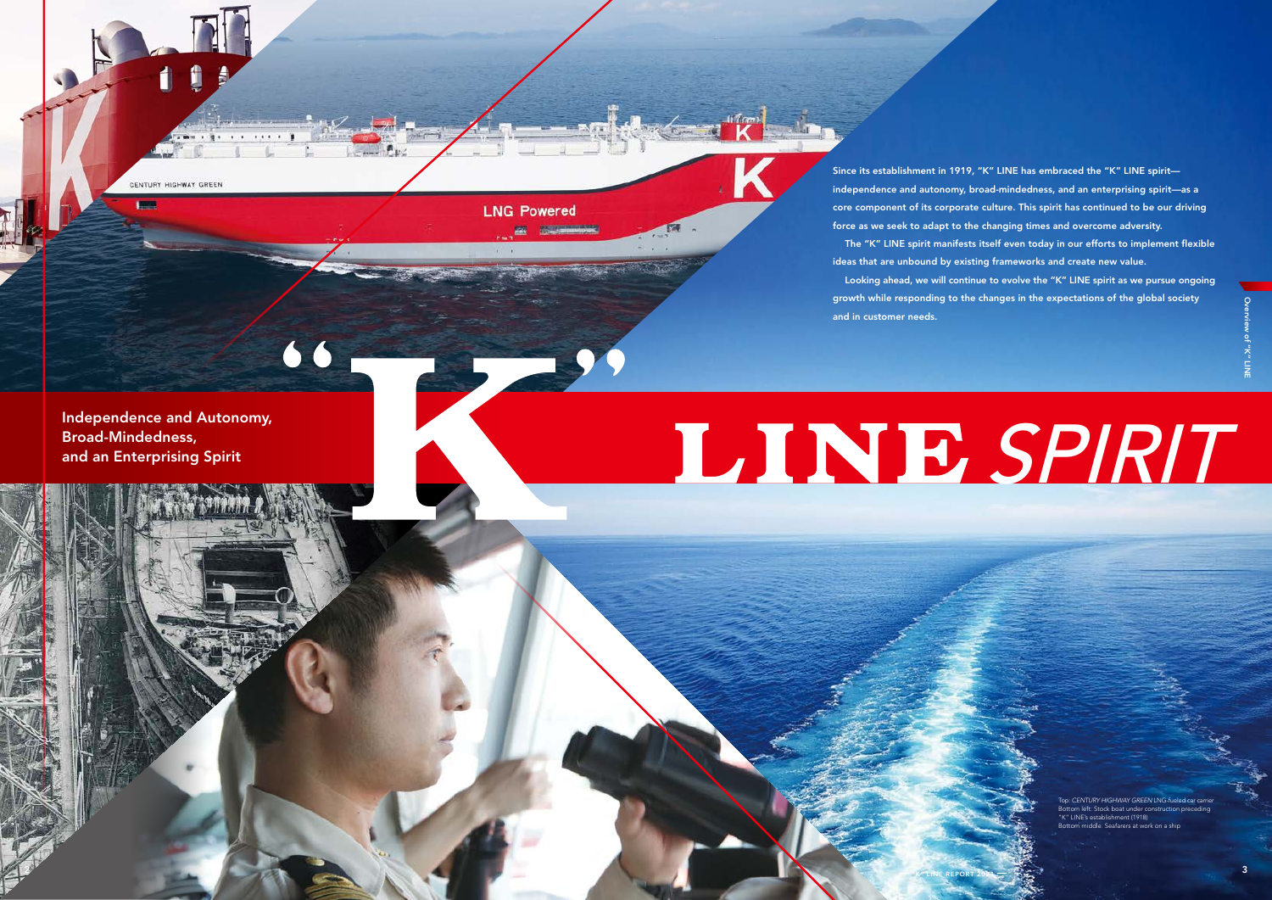Independence and Autonomy, Broad-Mindedness, and an Enterprising Spirit

66

# LINE SPIRIT

**LNG Powered** 

Top: *CENTURY HIGHWAY GREEN* LNG-fueled car carrier Bottom left: Stock boat under construction preceding "K" LINE's establishment (1918) .<br>Bottom middle: Seafarers at work on a shir

 $2^{3}$  K" LINE REPORT 2021  $\mathbb{R}$   $\mathbb{R}$   $\mathbb{R}$ 

CENTURY HIGHWAY GREEN

Since its establishment in 1919, "K" LINE has embraced the "K" LINE spirit independence and autonomy, broad-mindedness, and an enterprising spirit—as a core component of its corporate culture. This spirit has continued to be our driving force as we seek to adapt to the changing times and overcome adversity. The "K" LINE spirit manifests itself even today in our efforts to implement flexible ideas that are unbound by existing frameworks and create new value. Looking ahead, we will continue to evolve the "K" LINE spirit as we pursue ongoing growth while responding to the changes in the expectations of the global society and in customer needs.